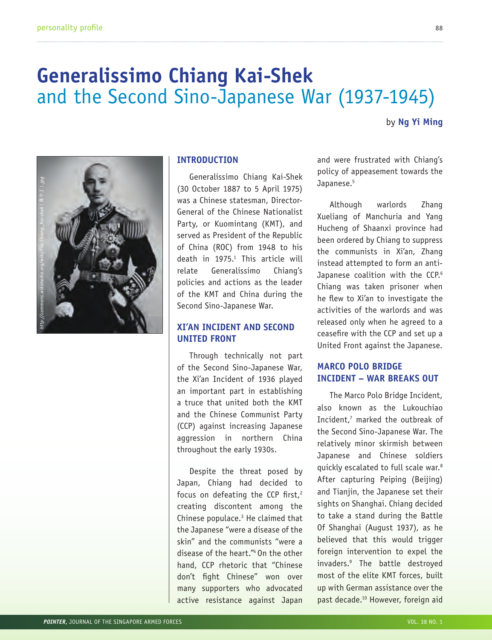# **Generalissimo Chiang Kai-Shek**  and the Second Sino-Japanese War (1937-1945)

by **Ng Yi Ming**



#### **INTRODUCTION**

Generalissimo Chiang Kai-Shek (30 October 1887 to 5 April 1975) was a Chinese statesman, Director-General of the Chinese Nationalist Party, or Kuomintang (KMT), and served as President of the Republic of China (ROC) from 1948 to his death in 1975.1 This article will relate Generalissimo Chiang's policies and actions as the leader of the KMT and China during the Second Sino-Japanese War.

# **XI'AN INCIDENT AND SECOND UNITED FRONT**

Through technically not part of the Second Sino-Japanese War, the Xi'an Incident of 1936 played an important part in establishing a truce that united both the KMT and the Chinese Communist Party (CCP) against increasing Japanese aggression in northern China throughout the early 1930s.

Despite the threat posed by Japan, Chiang had decided to focus on defeating the CCP first, $2$ creating discontent among the Chinese populace.3 He claimed that the Japanese "were a disease of the skin" and the communists "were a disease of the heart."4 On the other hand, CCP rhetoric that "Chinese don't fight Chinese" won over many supporters who advocated active resistance against Japan

and were frustrated with Chiang's policy of appeasement towards the Japanese.<sup>5</sup>

Although warlords Zhang Xueliang of Manchuria and Yang Hucheng of Shaanxi province had been ordered by Chiang to suppress the communists in Xi'an, Zhang instead attempted to form an anti-Japanese coalition with the CCP.<sup>6</sup> Chiang was taken prisoner when he flew to Xi'an to investigate the activities of the warlords and was released only when he agreed to a ceasefire with the CCP and set up a United Front against the Japanese.

# **MARCO POLO BRIDGE INCIDENT – WAR BREAKS OUT**

The Marco Polo Bridge Incident, also known as the Lukouchiao Incident,7 marked the outbreak of the Second Sino-Japanese War. The relatively minor skirmish between Japanese and Chinese soldiers quickly escalated to full scale war.8 After capturing Peiping (Beijing) and Tianjin, the Japanese set their sights on Shanghai. Chiang decided to take a stand during the Battle Of Shanghai (August 1937), as he believed that this would trigger foreign intervention to expel the invaders.9 The battle destroyed most of the elite KMT forces, built up with German assistance over the past decade.10 However, foreign aid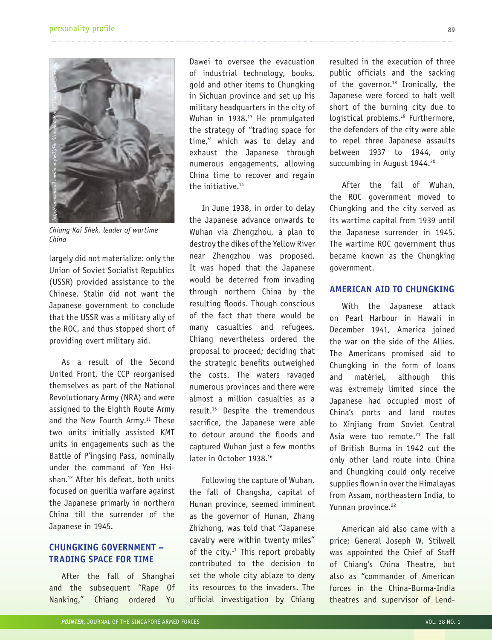

*Chiang Kai Shek, leader of wartime*  China

largely did not materialize: only the Union of Soviet Socialist Republics (USSR) provided assistance to the Chinese. Stalin did not want the Japanese government to conclude that the USSR was a military ally of the ROC, and thus stopped short of providing overt military aid.

As a result of the Second United Front, the CCP reorganised themselves as part of the National Revolutionary Army (NRA) and were assigned to the Eighth Route Army and the New Fourth Army.<sup>11</sup> These two units initially assisted KMT units in engagements such as the Battle of P'ingsing Pass, nominally under the command of Yen Hsishan.12 After his defeat, both units focused on guerilla warfare against the Japanese primarly in northern China till the surrender of the Japanese in 1945.

# **CHUNGKING GOVERNMENT – TRADING SPACE FOR TIME**

After the fall of Shanghai and the subsequent "Rape Of Nanking," Chiang ordered Yu

Dawei to oversee the evacuation of industrial technology, books, gold and other items to Chungking in Sichuan province and set up his military headquarters in the city of Wuhan in 1938.<sup>13</sup> He promulgated the strategy of "trading space for time," which was to delay and exhaust the Japanese through numerous engagements, allowing China time to recover and regain the initiative.<sup>14</sup>

In June 1938, in order to delay the Japanese advance onwards to Wuhan via Zhengzhou, a plan to destroy the dikes of the Yellow River near Zhengzhou was proposed. It was hoped that the Japanese would be deterred from invading through northern China by the resulting floods. Though conscious of the fact that there would be many casualties and refugees, Chiang nevertheless ordered the proposal to proceed; deciding that the strategic benefits outweighed the costs. The waters ravaged numerous provinces and there were almost a million casualties as a result.15 Despite the tremendous sacrifice, the Japanese were able to detour around the floods and captured Wuhan just a few months later in October 1938.16

Following the capture of Wuhan, the fall of Changsha, capital of Hunan province, seemed imminent as the governor of Hunan, Zhang Zhizhong, was told that "Japanese cavalry were within twenty miles" of the city.<sup>17</sup> This report probably contributed to the decision to set the whole city ablaze to deny its resources to the invaders. The official investigation by Chiang

resulted in the execution of three public officials and the sacking of the governor.<sup>18</sup> Ironically, the Japanese were forced to halt well short of the burning city due to logistical problems.<sup>19</sup> Furthermore, the defenders of the city were able to repel three Japanese assaults between 1937 to 1944, only succumbing in August 1944.<sup>20</sup>

After the fall of Wuhan, the ROC government moved to Chungking and the city served as its wartime capital from 1939 until the Japanese surrender in 1945. The wartime ROC government thus became known as the Chungking government.

#### **AMERICAN AID TO CHUNGKING**

With the Japanese attack on Pearl Harbour in Hawaii in December 1941, America joined the war on the side of the Allies. The Americans promised aid to Chungking in the form of loans and matériel, although this was extremely limited since the Japanese had occupied most of China's ports and land routes to Xinjiang from Soviet Central Asia were too remote.<sup>21</sup> The fall of British Burma in 1942 cut the only other land route into China and Chungking could only receive supplies flown in over the Himalayas from Assam, northeastern India, to Yunnan province.<sup>22</sup>

American aid also came with a price; General Joseph W. Stilwell was appointed the Chief of Staff of Chiang's China Theatre, but also as "commander of American forces in the China-Burma-India theatres and supervisor of Lend